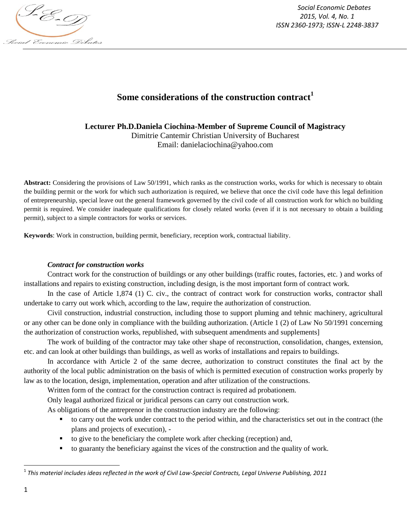

*Social Economic Debates 2015, Vol. 4, No. 1 ISSN 2360-1973; ISSN-L 2248-3837*

## **Some considerations of the construction contract<sup>1</sup>**

**Lecturer Ph.D.Daniela Ciochina-Member of Supreme Council of Magistracy** Dimitrie Cantemir Christian University of Bucharest Email: danielaciochina@yahoo.com

**Abstract:** Considering the provisions of Law 50/1991, which ranks as the construction works, works for which is necessary to obtain the building permit or the work for which such authorization is required, we believe that once the civil code have this legal definition of entrepreneurship, special leave out the general framework governed by the civil code of all construction work for which no building permit is required. We consider inadequate qualifications for closely related works (even if it is not necessary to obtain a building permit), subject to a simple contractors for works or services.

**Keywords**: Work in construction, building permit, beneficiary, reception work, contractual liability.

## *Contract for construction works*

Contract work for the construction of buildings or any other buildings (traffic routes, factories, etc. ) and works of installations and repairs to existing construction, including design, is the most important form of contract work.

In the case of Article 1,874 (1) C. civ., the contract of contract work for construction works, contractor shall undertake to carry out work which, according to the law, require the authorization of construction.

Civil construction, industrial construction, including those to support pluming and tehnic machinery, agricultural or any other can be done only in compliance with the building authorization. (Article 1 (2) of Law No 50/1991 concerning the authorization of construction works, republished, with subsequent amendments and supplements]

The work of building of the contractor may take other shape of reconstruction, consolidation, changes, extension, etc. and can look at other buildings than buildings, as well as works of installations and repairs to buildings.

In accordance with Article 2 of the same decree, authorization to construct constitutes the final act by the authority of the local public administration on the basis of which is permitted execution of construction works properly by law as to the location, design, implementation, operation and after utilization of the constructions.

Written form of the contract for the construction contract is required ad probationem.

Only leagal authorized fizical or juridical persons can carry out construction work.

As obligations of the antreprenor in the construction industry are the following:

- to carry out the work under contract to the period within, and the characteristics set out in the contract (the plans and projects of execution), -
- to give to the beneficiary the complete work after checking (reception) and,
- to guaranty the beneficiary against the vices of the construction and the quality of work.

 $\overline{\phantom{a}}$ 

<sup>1</sup> *This material includes ideas reflected in the work of Civil Law-Special Contracts, Legal Universe Publishing, 2011*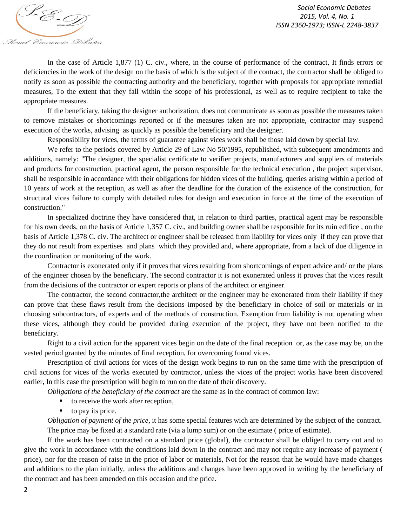In the case of Article 1,877 (1) C. civ., where, in the course of performance of the contract, It finds errors or deficiencies in the work of the design on the basis of which is the subject of the contract, the contractor shall be obliged to notify as soon as possible the contracting authority and the beneficiary, together with proposals for appropriate remedial measures, To the extent that they fall within the scope of his professional, as well as to require recipient to take the appropriate measures.

If the beneficiary, taking the designer authorization, does not communicate as soon as possible the measures taken to remove mistakes or shortcomings reported or if the measures taken are not appropriate, contractor may suspend execution of the works, advising as quickly as possible the beneficiary and the designer.

Responsibility for vices, the terms of guarantee against vices work shall be those laid down by special law.

We refer to the periods covered by Article 29 of Law No 50/1995, republished, with subsequent amendments and additions, namely: "The designer, the specialist certificate to verifier projects, manufacturers and suppliers of materials and products for construction, practical agent, the person responsible for the technical execution , the project supervisor, shall be responsible in accordance with their obligations for hidden vices of the building, queries arising within a period of 10 years of work at the reception, as well as after the deadline for the duration of the existence of the construction, for structural vices failure to comply with detailed rules for design and execution in force at the time of the execution of construction."

In specialized doctrine they have considered that, in relation to third parties, practical agent may be responsible for his own deeds, on the basis of Article 1,357 C. civ., and building owner shall be responsible for its ruin edifice , on the basis of Article 1,378 C. civ. The architect or engineer shall be released from liability for vices only if they can prove that they do not result from expertises and plans which they provided and, where appropriate, from a lack of due diligence in the coordination or monitoring of the work.

Contractor is exonerated only if it proves that vices resulting from shortcomings of expert advice and/ or the plans of the engineer chosen by the beneficiary. The second contractor it is not exonerated unless it proves that the vices result from the decisions of the contractor or expert reports or plans of the architect or engineer.

The contractor, the second contractor,the architect or the engineer may be exonerated from their liability if they can prove that these flaws result from the decisions imposed by the beneficiary in choice of soil or materials or in choosing subcontractors, of experts and of the methods of construction. Exemption from liability is not operating when these vices, although they could be provided during execution of the project, they have not been notified to the beneficiary.

Right to a civil action for the apparent vices begin on the date of the final reception or, as the case may be, on the vested period granted by the minutes of final reception, for overcoming found vices.

Prescription of civil actions for vices of the design work begins to run on the same time with the prescription of civil actions for vices of the works executed by contractor, unless the vices of the project works have been discovered earlier, In this case the prescription will begin to run on the date of their discovery.

*Obligations of the beneficiary of the contract* are the same as in the contract of common law:

- to receive the work after reception,
- $\blacksquare$  to pay its price.

*Obligation of payment of the price*, it has some special features wich are determined by the subject of the contract. The price may be fixed at a standard rate (via a lump sum) or on the estimate ( price of estimate).

If the work has been contracted on a standard price (global), the contractor shall be obliged to carry out and to give the work in accordance with the conditions laid down in the contract and may not require any increase of payment ( price), nor for the reason of raise in the price of labor or materials, Not for the reason that he would have made changes and additions to the plan initially, unless the additions and changes have been approved in writing by the beneficiary of the contract and has been amended on this occasion and the price.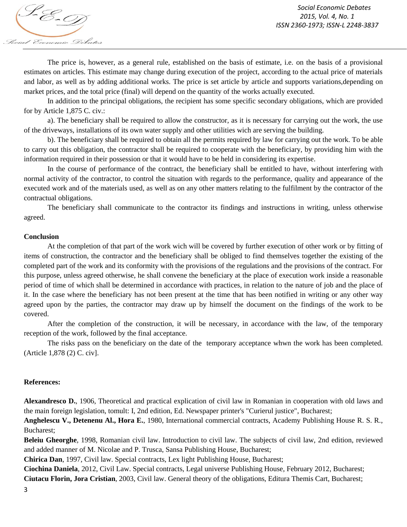S-E-T) Social Economic Debates

The price is, however, as a general rule, established on the basis of estimate, i.e. on the basis of a provisional estimates on articles. This estimate may change during execution of the project, according to the actual price of materials and labor, as well as by adding additional works. The price is set article by article and supports variations,depending on market prices, and the total price (final) will depend on the quantity of the works actually executed.

In addition to the principal obligations, the recipient has some specific secondary obligations, which are provided for by Article 1,875 C. civ.:

a). The beneficiary shall be required to allow the constructor, as it is necessary for carrying out the work, the use of the driveways, installations of its own water supply and other utilities wich are serving the building.

b). The beneficiary shall be required to obtain all the permits required by law for carrying out the work. To be able to carry out this obligation, the contractor shall be required to cooperate with the beneficiary, by providing him with the information required in their possession or that it would have to be held in considering its expertise.

In the course of performance of the contract, the beneficiary shall be entitled to have, without interfering with normal activity of the contractor, to control the situation with regards to the performance, quality and appearance of the executed work and of the materials used, as well as on any other matters relating to the fulfilment by the contractor of the contractual obligations.

The beneficiary shall communicate to the contractor its findings and instructions in writing, unless otherwise agreed.

## **Conclusion**

At the completion of that part of the work wich will be covered by further execution of other work or by fitting of items of construction, the contractor and the beneficiary shall be obliged to find themselves together the existing of the completed part of the work and its conformity with the provisions of the regulations and the provisions of the contract. For this purpose, unless agreed otherwise, he shall convene the beneficiary at the place of execution work inside a reasonable period of time of which shall be determined in accordance with practices, in relation to the nature of job and the place of it. In the case where the beneficiary has not been present at the time that has been notified in writing or any other way agreed upon by the parties, the contractor may draw up by himself the document on the findings of the work to be covered.

After the completion of the construction, it will be necessary, in accordance with the law, of the temporary reception of the work, followed by the final acceptance.

The risks pass on the beneficiary on the date of the temporary acceptance whwn the work has been completed. (Article 1,878 (2) C. civ].

## **References:**

**Alexandresco D.**, 1906, Theoretical and practical explication of civil law in Romanian in cooperation with old laws and the main foreign legislation, tomult: I, 2nd edition, Ed. Newspaper printer's "Curierul justice", Bucharest;

**Anghelescu V., Detenenu Al., Hora E.**, 1980, International commercial contracts, Academy Publishing House R. S. R., Bucharest;

**Beleiu Gheorghe**, 1998, Romanian civil law. Introduction to civil law. The subjects of civil law, 2nd edition, reviewed and added manner of M. Nicolae and P. Trusca, Sansa Publishing House, Bucharest;

**Chirica Dan**, 1997, Civil law. Special contracts, Lex light Publishing House, Bucharest;

**Ciochina Daniela**, 2012, Civil Law. Special contracts, Legal universe Publishing House, February 2012, Bucharest; **Ciutacu Florin, Jora Cristian**, 2003, Civil law. General theory of the obligations, Editura Themis Cart, Bucharest;